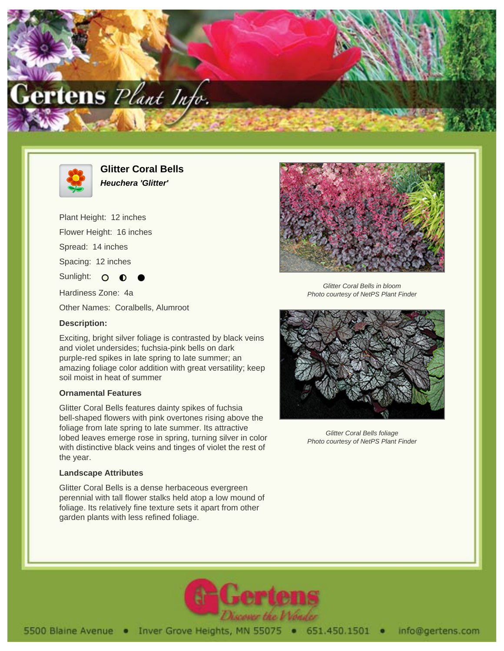



**Glitter Coral Bells Heuchera 'Glitter'**

Exciting, bright silver foliage is contrasted by black veins

and violet undersides; fuchsia-pink bells on dark purple-red spikes in late spring to late summer; an amazing foliage color addition with great versatility; keep

Glitter Coral Bells features dainty spikes of fuchsia bell-shaped flowers with pink overtones rising above the foliage from late spring to late summer. Its attractive lobed leaves emerge rose in spring, turning silver in color with distinctive black veins and tinges of violet the rest of

Glitter Coral Bells is a dense herbaceous evergreen perennial with tall flower stalks held atop a low mound of foliage. Its relatively fine texture sets it apart from other

garden plants with less refined foliage.

Plant Height: 12 inches Flower Height: 16 inches Spread: 14 inches Spacing: 12 inches Sunlight: O Hardiness Zone: 4a Other Names: Coralbells, Alumroot

soil moist in heat of summer

**Ornamental Features**

**Landscape Attributes**

**Description:**

the year.



Glitter Coral Bells in bloom Photo courtesy of NetPS Plant Finder



Glitter Coral Bells foliage Photo courtesy of NetPS Plant Finder